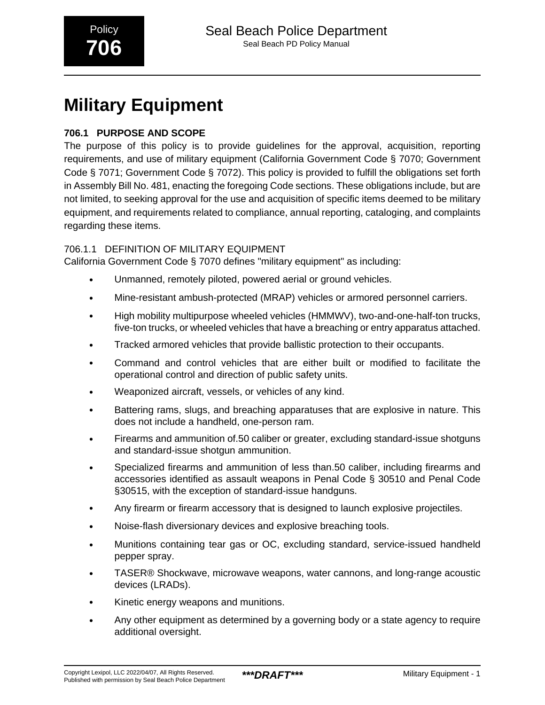# **Military Equipment**

## **706.1 PURPOSE AND SCOPE**

The purpose of this policy is to provide guidelines for the approval, acquisition, reporting requirements, and use of military equipment (California Government Code § 7070; Government Code § 7071; Government Code § 7072). This policy is provided to fulfill the obligations set forth in Assembly Bill No. 481, enacting the foregoing Code sections. These obligations include, but are not limited, to seeking approval for the use and acquisition of specific items deemed to be military equipment, and requirements related to compliance, annual reporting, cataloging, and complaints regarding these items.

### 706.1.1 DEFINITION OF MILITARY EQUIPMENT

California Government Code § 7070 defines "military equipment" as including:

- Unmanned, remotely piloted, powered aerial or ground vehicles.
- Mine-resistant ambush-protected (MRAP) vehicles or armored personnel carriers.
- High mobility multipurpose wheeled vehicles (HMMWV), two-and-one-half-ton trucks, five-ton trucks, or wheeled vehicles that have a breaching or entry apparatus attached.
- Tracked armored vehicles that provide ballistic protection to their occupants.
- Command and control vehicles that are either built or modified to facilitate the operational control and direction of public safety units.
- Weaponized aircraft, vessels, or vehicles of any kind.
- Battering rams, slugs, and breaching apparatuses that are explosive in nature. This does not include a handheld, one-person ram.
- Firearms and ammunition of.50 caliber or greater, excluding standard-issue shotguns and standard-issue shotgun ammunition.
- Specialized firearms and ammunition of less than.50 caliber, including firearms and accessories identified as assault weapons in Penal Code § 30510 and Penal Code §30515, with the exception of standard-issue handguns.
- Any firearm or firearm accessory that is designed to launch explosive projectiles.
- Noise-flash diversionary devices and explosive breaching tools.
- Munitions containing tear gas or OC, excluding standard, service-issued handheld pepper spray.
- TASER® Shockwave, microwave weapons, water cannons, and long-range acoustic devices (LRADs).
- Kinetic energy weapons and munitions.
- Any other equipment as determined by a governing body or a state agency to require additional oversight.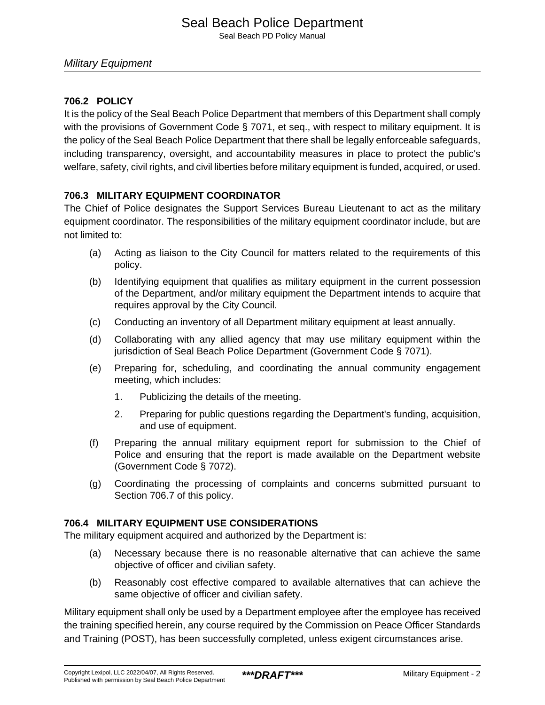### **706.2 POLICY**

It is the policy of the Seal Beach Police Department that members of this Department shall comply with the provisions of Government Code § 7071, et seq., with respect to military equipment. It is the policy of the Seal Beach Police Department that there shall be legally enforceable safeguards, including transparency, oversight, and accountability measures in place to protect the public's welfare, safety, civil rights, and civil liberties before military equipment is funded, acquired, or used.

### **706.3 MILITARY EQUIPMENT COORDINATOR**

The Chief of Police designates the Support Services Bureau Lieutenant to act as the military equipment coordinator. The responsibilities of the military equipment coordinator include, but are not limited to:

- (a) Acting as liaison to the City Council for matters related to the requirements of this policy.
- (b) Identifying equipment that qualifies as military equipment in the current possession of the Department, and/or military equipment the Department intends to acquire that requires approval by the City Council.
- (c) Conducting an inventory of all Department military equipment at least annually.
- (d) Collaborating with any allied agency that may use military equipment within the jurisdiction of Seal Beach Police Department (Government Code § 7071).
- (e) Preparing for, scheduling, and coordinating the annual community engagement meeting, which includes:
	- 1. Publicizing the details of the meeting.
	- 2. Preparing for public questions regarding the Department's funding, acquisition, and use of equipment.
- (f) Preparing the annual military equipment report for submission to the Chief of Police and ensuring that the report is made available on the Department website (Government Code § 7072).
- (g) Coordinating the processing of complaints and concerns submitted pursuant to Section 706.7 of this policy.

#### **706.4 MILITARY EQUIPMENT USE CONSIDERATIONS**

The military equipment acquired and authorized by the Department is:

- (a) Necessary because there is no reasonable alternative that can achieve the same objective of officer and civilian safety.
- (b) Reasonably cost effective compared to available alternatives that can achieve the same objective of officer and civilian safety.

Military equipment shall only be used by a Department employee after the employee has received the training specified herein, any course required by the Commission on Peace Officer Standards and Training (POST), has been successfully completed, unless exigent circumstances arise.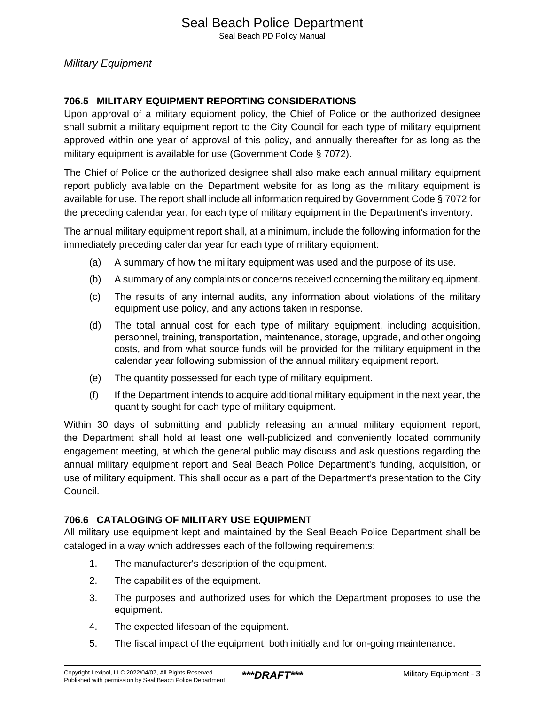### **706.5 MILITARY EQUIPMENT REPORTING CONSIDERATIONS**

Upon approval of a military equipment policy, the Chief of Police or the authorized designee shall submit a military equipment report to the City Council for each type of military equipment approved within one year of approval of this policy, and annually thereafter for as long as the military equipment is available for use (Government Code § 7072).

The Chief of Police or the authorized designee shall also make each annual military equipment report publicly available on the Department website for as long as the military equipment is available for use. The report shall include all information required by Government Code § 7072 for the preceding calendar year, for each type of military equipment in the Department's inventory.

The annual military equipment report shall, at a minimum, include the following information for the immediately preceding calendar year for each type of military equipment:

- (a) A summary of how the military equipment was used and the purpose of its use.
- (b) A summary of any complaints or concerns received concerning the military equipment.
- (c) The results of any internal audits, any information about violations of the military equipment use policy, and any actions taken in response.
- (d) The total annual cost for each type of military equipment, including acquisition, personnel, training, transportation, maintenance, storage, upgrade, and other ongoing costs, and from what source funds will be provided for the military equipment in the calendar year following submission of the annual military equipment report.
- (e) The quantity possessed for each type of military equipment.
- (f) If the Department intends to acquire additional military equipment in the next year, the quantity sought for each type of military equipment.

Within 30 days of submitting and publicly releasing an annual military equipment report, the Department shall hold at least one well-publicized and conveniently located community engagement meeting, at which the general public may discuss and ask questions regarding the annual military equipment report and Seal Beach Police Department's funding, acquisition, or use of military equipment. This shall occur as a part of the Department's presentation to the City Council.

### **706.6 CATALOGING OF MILITARY USE EQUIPMENT**

All military use equipment kept and maintained by the Seal Beach Police Department shall be cataloged in a way which addresses each of the following requirements:

- 1. The manufacturer's description of the equipment.
- 2. The capabilities of the equipment.
- 3. The purposes and authorized uses for which the Department proposes to use the equipment.
- 4. The expected lifespan of the equipment.
- 5. The fiscal impact of the equipment, both initially and for on-going maintenance.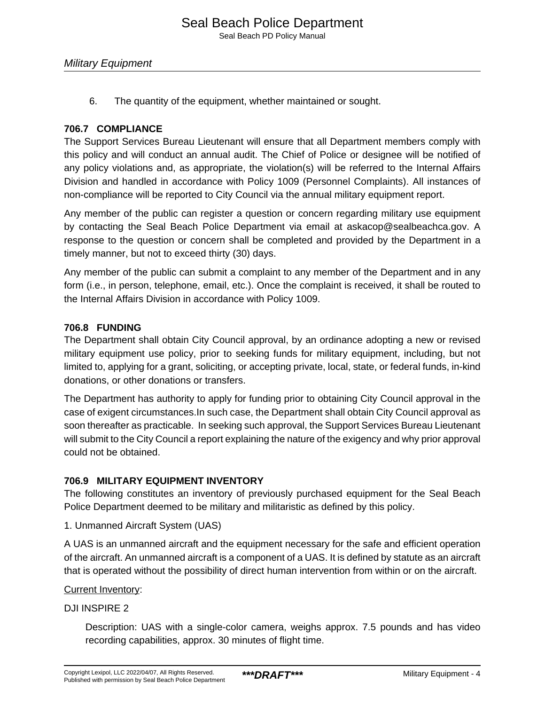6. The quantity of the equipment, whether maintained or sought.

#### **706.7 COMPLIANCE**

The Support Services Bureau Lieutenant will ensure that all Department members comply with this policy and will conduct an annual audit. The Chief of Police or designee will be notified of any policy violations and, as appropriate, the violation(s) will be referred to the Internal Affairs Division and handled in accordance with Policy 1009 (Personnel Complaints). All instances of non-compliance will be reported to City Council via the annual military equipment report.

Any member of the public can register a question or concern regarding military use equipment by contacting the Seal Beach Police Department via email at askacop@sealbeachca.gov. A response to the question or concern shall be completed and provided by the Department in a timely manner, but not to exceed thirty (30) days.

Any member of the public can submit a complaint to any member of the Department and in any form (i.e., in person, telephone, email, etc.). Once the complaint is received, it shall be routed to the Internal Affairs Division in accordance with Policy 1009.

#### **706.8 FUNDING**

The Department shall obtain City Council approval, by an ordinance adopting a new or revised military equipment use policy, prior to seeking funds for military equipment, including, but not limited to, applying for a grant, soliciting, or accepting private, local, state, or federal funds, in-kind donations, or other donations or transfers.

The Department has authority to apply for funding prior to obtaining City Council approval in the case of exigent circumstances.In such case, the Department shall obtain City Council approval as soon thereafter as practicable. In seeking such approval, the Support Services Bureau Lieutenant will submit to the City Council a report explaining the nature of the exigency and why prior approval could not be obtained.

#### **706.9 MILITARY EQUIPMENT INVENTORY**

The following constitutes an inventory of previously purchased equipment for the Seal Beach Police Department deemed to be military and militaristic as defined by this policy.

1. Unmanned Aircraft System (UAS)

A UAS is an unmanned aircraft and the equipment necessary for the safe and efficient operation of the aircraft. An unmanned aircraft is a component of a UAS. It is defined by statute as an aircraft that is operated without the possibility of direct human intervention from within or on the aircraft.

#### Current Inventory:

DJI INSPIRE 2

Description: UAS with a single-color camera, weighs approx. 7.5 pounds and has video recording capabilities, approx. 30 minutes of flight time.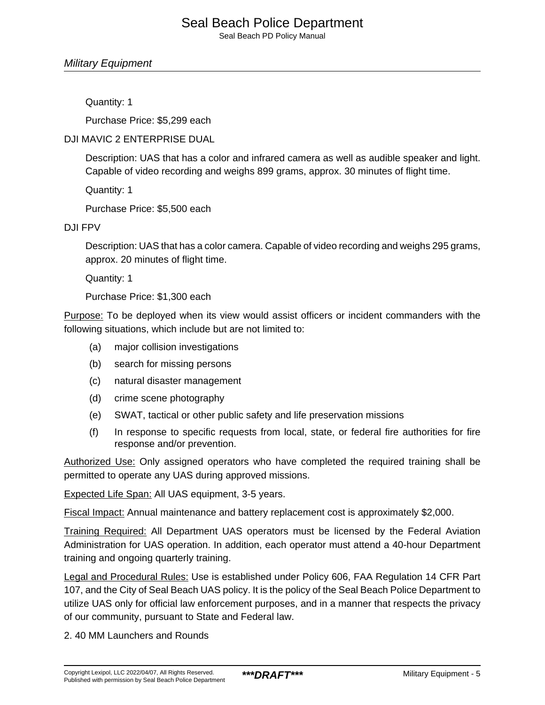#### Military Equipment

Quantity: 1

Purchase Price: \$5,299 each

#### DJI MAVIC 2 ENTERPRISE DUAL

Description: UAS that has a color and infrared camera as well as audible speaker and light. Capable of video recording and weighs 899 grams, approx. 30 minutes of flight time.

Quantity: 1

Purchase Price: \$5,500 each

#### DJI FPV

Description: UAS that has a color camera. Capable of video recording and weighs 295 grams, approx. 20 minutes of flight time.

Quantity: 1

Purchase Price: \$1,300 each

Purpose: To be deployed when its view would assist officers or incident commanders with the following situations, which include but are not limited to:

- (a) major collision investigations
- (b) search for missing persons
- (c) natural disaster management
- (d) crime scene photography
- (e) SWAT, tactical or other public safety and life preservation missions
- (f) In response to specific requests from local, state, or federal fire authorities for fire response and/or prevention.

Authorized Use: Only assigned operators who have completed the required training shall be permitted to operate any UAS during approved missions.

Expected Life Span: All UAS equipment, 3-5 years.

Fiscal Impact: Annual maintenance and battery replacement cost is approximately \$2,000.

Training Required: All Department UAS operators must be licensed by the Federal Aviation Administration for UAS operation. In addition, each operator must attend a 40-hour Department training and ongoing quarterly training.

Legal and Procedural Rules: Use is established under Policy 606, FAA Regulation 14 CFR Part 107, and the City of Seal Beach UAS policy. It is the policy of the Seal Beach Police Department to utilize UAS only for official law enforcement purposes, and in a manner that respects the privacy of our community, pursuant to State and Federal law.

2. 40 MM Launchers and Rounds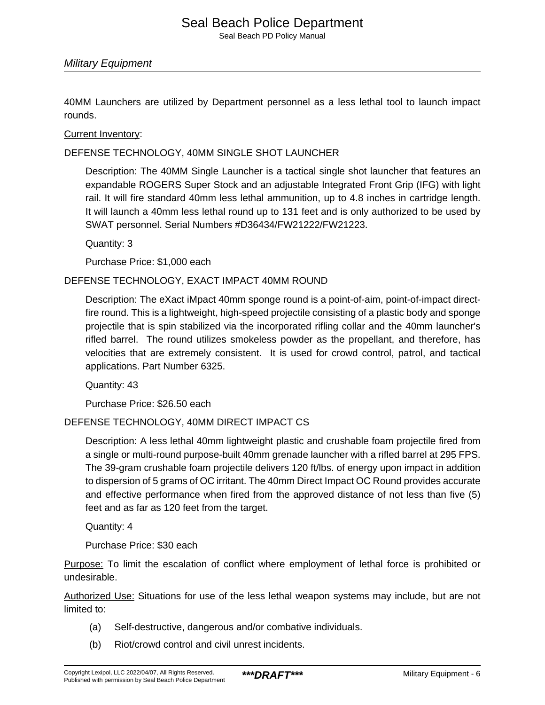Seal Beach PD Policy Manual

#### Military Equipment

40MM Launchers are utilized by Department personnel as a less lethal tool to launch impact rounds.

Current Inventory:

DEFENSE TECHNOLOGY, 40MM SINGLE SHOT LAUNCHER

Description: The 40MM Single Launcher is a tactical single shot launcher that features an expandable ROGERS Super Stock and an adjustable Integrated Front Grip (IFG) with light rail. It will fire standard 40mm less lethal ammunition, up to 4.8 inches in cartridge length. It will launch a 40mm less lethal round up to 131 feet and is only authorized to be used by SWAT personnel. Serial Numbers #D36434/FW21222/FW21223.

Quantity: 3

Purchase Price: \$1,000 each

#### DEFENSE TECHNOLOGY, EXACT IMPACT 40MM ROUND

Description: The eXact iMpact 40mm sponge round is a point-of-aim, point-of-impact directfire round. This is a lightweight, high-speed projectile consisting of a plastic body and sponge projectile that is spin stabilized via the incorporated rifling collar and the 40mm launcher's rifled barrel. The round utilizes smokeless powder as the propellant, and therefore, has velocities that are extremely consistent. It is used for crowd control, patrol, and tactical applications. Part Number 6325.

Quantity: 43

Purchase Price: \$26.50 each

DEFENSE TECHNOLOGY, 40MM DIRECT IMPACT CS

Description: A less lethal 40mm lightweight plastic and crushable foam projectile fired from a single or multi-round purpose-built 40mm grenade launcher with a rifled barrel at 295 FPS. The 39-gram crushable foam projectile delivers 120 ft/lbs. of energy upon impact in addition to dispersion of 5 grams of OC irritant. The 40mm Direct Impact OC Round provides accurate and effective performance when fired from the approved distance of not less than five (5) feet and as far as 120 feet from the target.

Quantity: 4

Purchase Price: \$30 each

Purpose: To limit the escalation of conflict where employment of lethal force is prohibited or undesirable.

Authorized Use: Situations for use of the less lethal weapon systems may include, but are not limited to:

- (a) Self-destructive, dangerous and/or combative individuals.
- (b) Riot/crowd control and civil unrest incidents.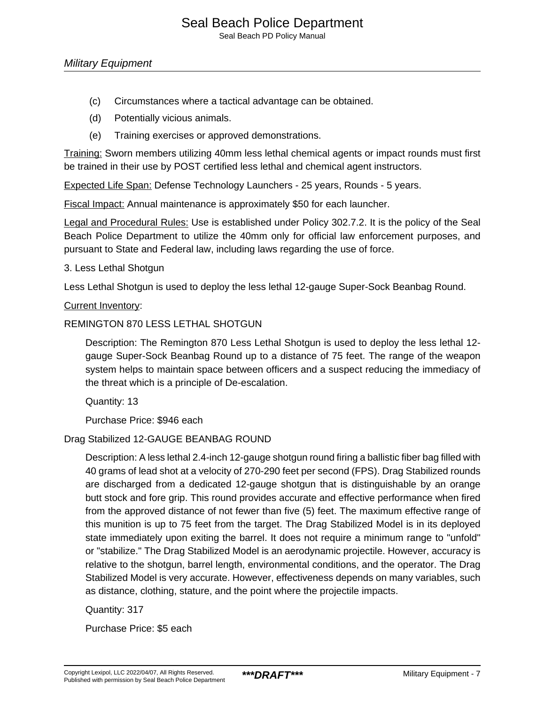Seal Beach PD Policy Manual

- (c) Circumstances where a tactical advantage can be obtained.
- (d) Potentially vicious animals.
- (e) Training exercises or approved demonstrations.

Training: Sworn members utilizing 40mm less lethal chemical agents or impact rounds must first be trained in their use by POST certified less lethal and chemical agent instructors.

Expected Life Span: Defense Technology Launchers - 25 years, Rounds - 5 years.

Fiscal Impact: Annual maintenance is approximately \$50 for each launcher.

Legal and Procedural Rules: Use is established under Policy 302.7.2. It is the policy of the Seal Beach Police Department to utilize the 40mm only for official law enforcement purposes, and pursuant to State and Federal law, including laws regarding the use of force.

#### 3. Less Lethal Shotgun

Less Lethal Shotgun is used to deploy the less lethal 12-gauge Super-Sock Beanbag Round.

#### Current Inventory:

#### REMINGTON 870 LESS LETHAL SHOTGUN

Description: The Remington 870 Less Lethal Shotgun is used to deploy the less lethal 12 gauge Super-Sock Beanbag Round up to a distance of 75 feet. The range of the weapon system helps to maintain space between officers and a suspect reducing the immediacy of the threat which is a principle of De-escalation.

Quantity: 13

Purchase Price: \$946 each

#### Drag Stabilized 12-GAUGE BEANBAG ROUND

Description: A less lethal 2.4-inch 12-gauge shotgun round firing a ballistic fiber bag filled with 40 grams of lead shot at a velocity of 270-290 feet per second (FPS). Drag Stabilized rounds are discharged from a dedicated 12-gauge shotgun that is distinguishable by an orange butt stock and fore grip. This round provides accurate and effective performance when fired from the approved distance of not fewer than five (5) feet. The maximum effective range of this munition is up to 75 feet from the target. The Drag Stabilized Model is in its deployed state immediately upon exiting the barrel. It does not require a minimum range to "unfold" or "stabilize." The Drag Stabilized Model is an aerodynamic projectile. However, accuracy is relative to the shotgun, barrel length, environmental conditions, and the operator. The Drag Stabilized Model is very accurate. However, effectiveness depends on many variables, such as distance, clothing, stature, and the point where the projectile impacts.

Quantity: 317

Purchase Price: \$5 each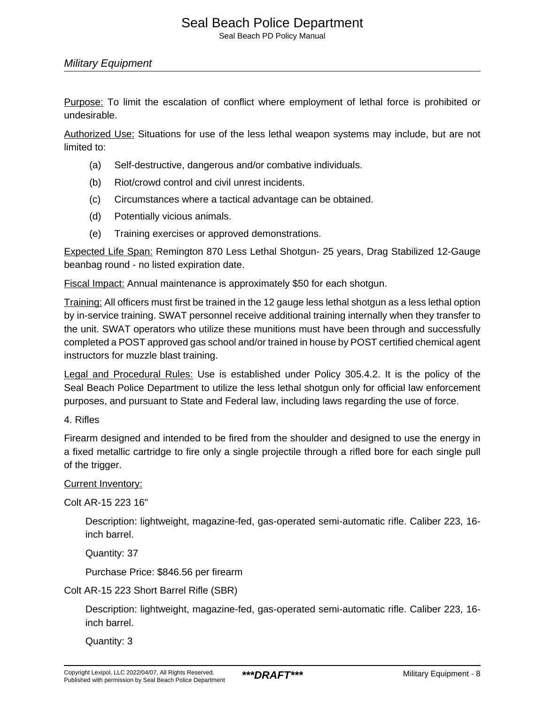Seal Beach PD Policy Manual

#### Military Equipment

Purpose: To limit the escalation of conflict where employment of lethal force is prohibited or undesirable.

Authorized Use: Situations for use of the less lethal weapon systems may include, but are not limited to:

- (a) Self-destructive, dangerous and/or combative individuals.
- (b) Riot/crowd control and civil unrest incidents.
- (c) Circumstances where a tactical advantage can be obtained.
- (d) Potentially vicious animals.
- (e) Training exercises or approved demonstrations.

Expected Life Span: Remington 870 Less Lethal Shotgun- 25 years, Drag Stabilized 12-Gauge beanbag round - no listed expiration date.

Fiscal Impact: Annual maintenance is approximately \$50 for each shotgun.

Training: All officers must first be trained in the 12 gauge less lethal shotgun as a less lethal option by in-service training. SWAT personnel receive additional training internally when they transfer to the unit. SWAT operators who utilize these munitions must have been through and successfully completed a POST approved gas school and/or trained in house by POST certified chemical agent instructors for muzzle blast training.

Legal and Procedural Rules: Use is established under Policy 305.4.2. It is the policy of the Seal Beach Police Department to utilize the less lethal shotgun only for official law enforcement purposes, and pursuant to State and Federal law, including laws regarding the use of force.

4. Rifles

Firearm designed and intended to be fired from the shoulder and designed to use the energy in a fixed metallic cartridge to fire only a single projectile through a rifled bore for each single pull of the trigger.

#### Current Inventory:

Colt AR-15 223 16"

Description: lightweight, magazine-fed, gas-operated semi-automatic rifle. Caliber 223, 16 inch barrel.

Quantity: 37

Purchase Price: \$846.56 per firearm

Colt AR-15 223 Short Barrel Rifle (SBR)

Description: lightweight, magazine-fed, gas-operated semi-automatic rifle. Caliber 223, 16 inch barrel.

Quantity: 3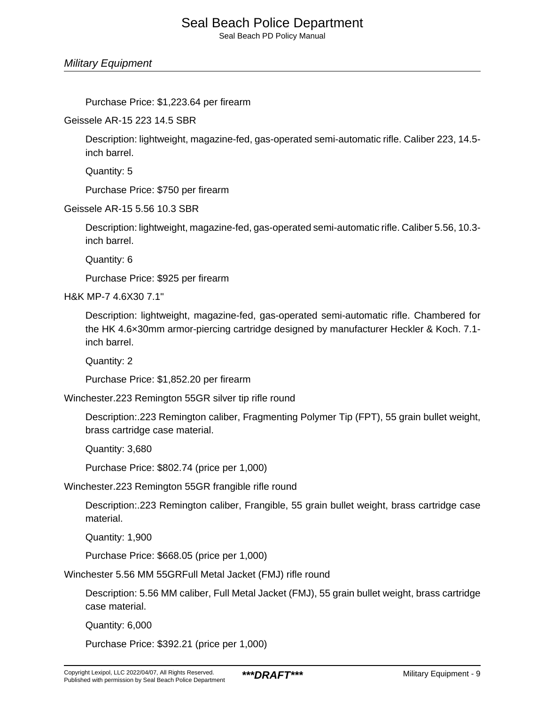Seal Beach PD Policy Manual

Military Equipment

Purchase Price: \$1,223.64 per firearm

Geissele AR-15 223 14.5 SBR

Description: lightweight, magazine-fed, gas-operated semi-automatic rifle. Caliber 223, 14.5 inch barrel.

Quantity: 5

Purchase Price: \$750 per firearm

Geissele AR-15 5.56 10.3 SBR

Description: lightweight, magazine-fed, gas-operated semi-automatic rifle. Caliber 5.56, 10.3 inch barrel.

Quantity: 6

Purchase Price: \$925 per firearm

H&K MP-7 4.6X30 7.1"

Description: lightweight, magazine-fed, gas-operated semi-automatic rifle. Chambered for the HK 4.6×30mm armor-piercing cartridge designed by manufacturer Heckler & Koch. 7.1 inch barrel.

Quantity: 2

Purchase Price: \$1,852.20 per firearm

Winchester.223 Remington 55GR silver tip rifle round

Description:.223 Remington caliber, Fragmenting Polymer Tip (FPT), 55 grain bullet weight, brass cartridge case material.

Quantity: 3,680

Purchase Price: \$802.74 (price per 1,000)

Winchester.223 Remington 55GR frangible rifle round

Description:.223 Remington caliber, Frangible, 55 grain bullet weight, brass cartridge case material.

Quantity: 1,900

Purchase Price: \$668.05 (price per 1,000)

Winchester 5.56 MM 55GRFull Metal Jacket (FMJ) rifle round

Description: 5.56 MM caliber, Full Metal Jacket (FMJ), 55 grain bullet weight, brass cartridge case material.

Quantity: 6,000

Purchase Price: \$392.21 (price per 1,000)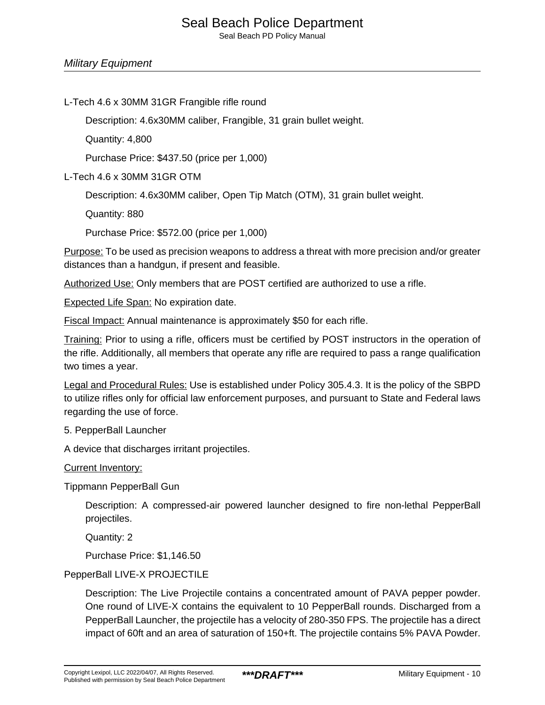#### L-Tech 4.6 x 30MM 31GR Frangible rifle round

Description: 4.6x30MM caliber, Frangible, 31 grain bullet weight.

Quantity: 4,800

Purchase Price: \$437.50 (price per 1,000)

L-Tech 4.6 x 30MM 31GR OTM

Description: 4.6x30MM caliber, Open Tip Match (OTM), 31 grain bullet weight.

Quantity: 880

Purchase Price: \$572.00 (price per 1,000)

Purpose: To be used as precision weapons to address a threat with more precision and/or greater distances than a handgun, if present and feasible.

Authorized Use: Only members that are POST certified are authorized to use a rifle.

Expected Life Span: No expiration date.

Fiscal Impact: Annual maintenance is approximately \$50 for each rifle.

Training: Prior to using a rifle, officers must be certified by POST instructors in the operation of the rifle. Additionally, all members that operate any rifle are required to pass a range qualification two times a year.

Legal and Procedural Rules: Use is established under Policy 305.4.3. It is the policy of the SBPD to utilize rifles only for official law enforcement purposes, and pursuant to State and Federal laws regarding the use of force.

#### 5. PepperBall Launcher

A device that discharges irritant projectiles.

#### Current Inventory:

Tippmann PepperBall Gun

Description: A compressed-air powered launcher designed to fire non-lethal PepperBall projectiles.

Quantity: 2

Purchase Price: \$1,146.50

#### PepperBall LIVE-X PROJECTILE

Description: The Live Projectile contains a concentrated amount of PAVA pepper powder. One round of LIVE-X contains the equivalent to 10 PepperBall rounds. Discharged from a PepperBall Launcher, the projectile has a velocity of 280-350 FPS. The projectile has a direct impact of 60ft and an area of saturation of 150+ft. The projectile contains 5% PAVA Powder.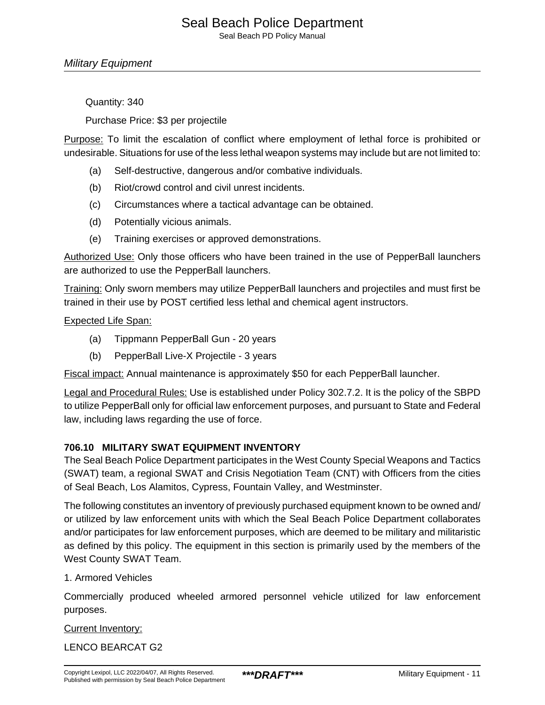Military Equipment

Quantity: 340

Purchase Price: \$3 per projectile

Purpose: To limit the escalation of conflict where employment of lethal force is prohibited or undesirable. Situations for use of the less lethal weapon systems may include but are not limited to:

- (a) Self-destructive, dangerous and/or combative individuals.
- (b) Riot/crowd control and civil unrest incidents.
- (c) Circumstances where a tactical advantage can be obtained.
- (d) Potentially vicious animals.
- (e) Training exercises or approved demonstrations.

Authorized Use: Only those officers who have been trained in the use of PepperBall launchers are authorized to use the PepperBall launchers.

Training: Only sworn members may utilize PepperBall launchers and projectiles and must first be trained in their use by POST certified less lethal and chemical agent instructors.

#### Expected Life Span:

- (a) Tippmann PepperBall Gun 20 years
- (b) PepperBall Live-X Projectile 3 years

Fiscal impact: Annual maintenance is approximately \$50 for each PepperBall launcher.

Legal and Procedural Rules: Use is established under Policy 302.7.2. It is the policy of the SBPD to utilize PepperBall only for official law enforcement purposes, and pursuant to State and Federal law, including laws regarding the use of force.

#### **706.10 MILITARY SWAT EQUIPMENT INVENTORY**

The Seal Beach Police Department participates in the West County Special Weapons and Tactics (SWAT) team, a regional SWAT and Crisis Negotiation Team (CNT) with Officers from the cities of Seal Beach, Los Alamitos, Cypress, Fountain Valley, and Westminster.

The following constitutes an inventory of previously purchased equipment known to be owned and/ or utilized by law enforcement units with which the Seal Beach Police Department collaborates and/or participates for law enforcement purposes, which are deemed to be military and militaristic as defined by this policy. The equipment in this section is primarily used by the members of the West County SWAT Team.

#### 1. Armored Vehicles

Commercially produced wheeled armored personnel vehicle utilized for law enforcement purposes.

#### Current Inventory:

LENCO BEARCAT G2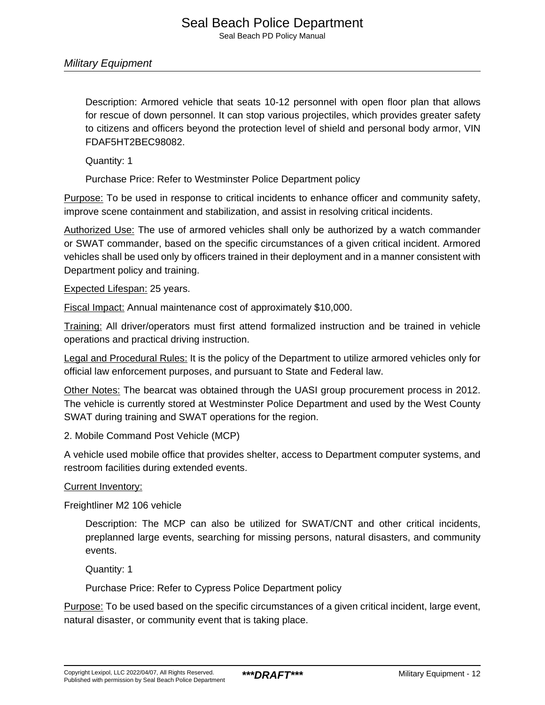Description: Armored vehicle that seats 10-12 personnel with open floor plan that allows for rescue of down personnel. It can stop various projectiles, which provides greater safety to citizens and officers beyond the protection level of shield and personal body armor, VIN FDAF5HT2BEC98082.

Quantity: 1

Purchase Price: Refer to Westminster Police Department policy

Purpose: To be used in response to critical incidents to enhance officer and community safety, improve scene containment and stabilization, and assist in resolving critical incidents.

Authorized Use: The use of armored vehicles shall only be authorized by a watch commander or SWAT commander, based on the specific circumstances of a given critical incident. Armored vehicles shall be used only by officers trained in their deployment and in a manner consistent with Department policy and training.

Expected Lifespan: 25 years.

Fiscal Impact: Annual maintenance cost of approximately \$10,000.

Training: All driver/operators must first attend formalized instruction and be trained in vehicle operations and practical driving instruction.

Legal and Procedural Rules: It is the policy of the Department to utilize armored vehicles only for official law enforcement purposes, and pursuant to State and Federal law.

Other Notes: The bearcat was obtained through the UASI group procurement process in 2012. The vehicle is currently stored at Westminster Police Department and used by the West County SWAT during training and SWAT operations for the region.

2. Mobile Command Post Vehicle (MCP)

A vehicle used mobile office that provides shelter, access to Department computer systems, and restroom facilities during extended events.

Current Inventory:

Freightliner M2 106 vehicle

Description: The MCP can also be utilized for SWAT/CNT and other critical incidents, preplanned large events, searching for missing persons, natural disasters, and community events.

Quantity: 1

Purchase Price: Refer to Cypress Police Department policy

Purpose: To be used based on the specific circumstances of a given critical incident, large event, natural disaster, or community event that is taking place.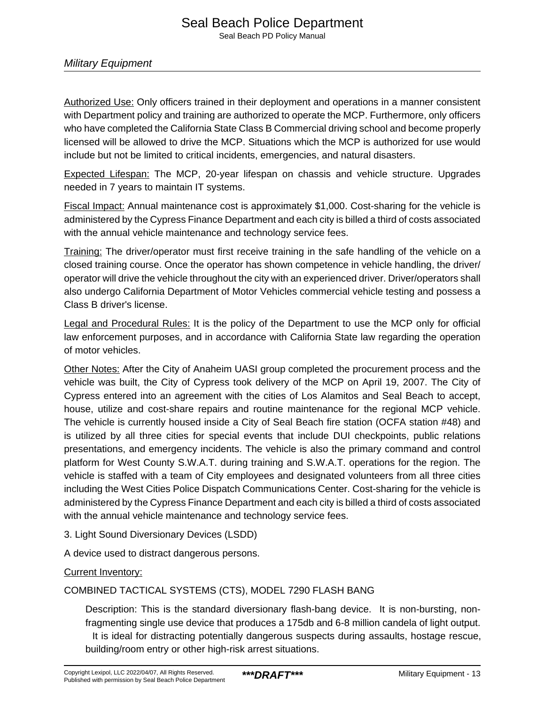Authorized Use: Only officers trained in their deployment and operations in a manner consistent with Department policy and training are authorized to operate the MCP. Furthermore, only officers who have completed the California State Class B Commercial driving school and become properly licensed will be allowed to drive the MCP. Situations which the MCP is authorized for use would include but not be limited to critical incidents, emergencies, and natural disasters.

Expected Lifespan: The MCP, 20-year lifespan on chassis and vehicle structure. Upgrades needed in 7 years to maintain IT systems.

Fiscal Impact: Annual maintenance cost is approximately \$1,000. Cost-sharing for the vehicle is administered by the Cypress Finance Department and each city is billed a third of costs associated with the annual vehicle maintenance and technology service fees.

Training: The driver/operator must first receive training in the safe handling of the vehicle on a closed training course. Once the operator has shown competence in vehicle handling, the driver/ operator will drive the vehicle throughout the city with an experienced driver. Driver/operators shall also undergo California Department of Motor Vehicles commercial vehicle testing and possess a Class B driver's license.

Legal and Procedural Rules: It is the policy of the Department to use the MCP only for official law enforcement purposes, and in accordance with California State law regarding the operation of motor vehicles.

Other Notes: After the City of Anaheim UASI group completed the procurement process and the vehicle was built, the City of Cypress took delivery of the MCP on April 19, 2007. The City of Cypress entered into an agreement with the cities of Los Alamitos and Seal Beach to accept, house, utilize and cost-share repairs and routine maintenance for the regional MCP vehicle. The vehicle is currently housed inside a City of Seal Beach fire station (OCFA station #48) and is utilized by all three cities for special events that include DUI checkpoints, public relations presentations, and emergency incidents. The vehicle is also the primary command and control platform for West County S.W.A.T. during training and S.W.A.T. operations for the region. The vehicle is staffed with a team of City employees and designated volunteers from all three cities including the West Cities Police Dispatch Communications Center. Cost-sharing for the vehicle is administered by the Cypress Finance Department and each city is billed a third of costs associated with the annual vehicle maintenance and technology service fees.

3. Light Sound Diversionary Devices (LSDD)

A device used to distract dangerous persons.

#### **Current Inventory:**

COMBINED TACTICAL SYSTEMS (CTS), MODEL 7290 FLASH BANG

Description: This is the standard diversionary flash-bang device. It is non-bursting, nonfragmenting single use device that produces a 175db and 6-8 million candela of light output. It is ideal for distracting potentially dangerous suspects during assaults, hostage rescue, building/room entry or other high-risk arrest situations.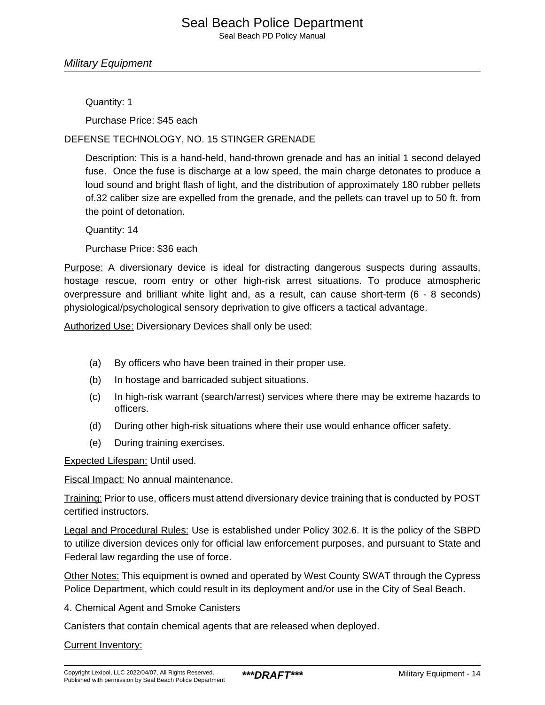#### Military Equipment

Quantity: 1

Purchase Price: \$45 each

DEFENSE TECHNOLOGY, NO. 15 STINGER GRENADE

Description: This is a hand-held, hand-thrown grenade and has an initial 1 second delayed fuse. Once the fuse is discharge at a low speed, the main charge detonates to produce a loud sound and bright flash of light, and the distribution of approximately 180 rubber pellets of.32 caliber size are expelled from the grenade, and the pellets can travel up to 50 ft. from the point of detonation.

Quantity: 14

Purchase Price: \$36 each

Purpose: A diversionary device is ideal for distracting dangerous suspects during assaults, hostage rescue, room entry or other high-risk arrest situations. To produce atmospheric overpressure and brilliant white light and, as a result, can cause short-term (6 - 8 seconds) physiological/psychological sensory deprivation to give officers a tactical advantage.

Authorized Use: Diversionary Devices shall only be used:

- (a) By officers who have been trained in their proper use.
- (b) In hostage and barricaded subject situations.
- (c) In high-risk warrant (search/arrest) services where there may be extreme hazards to officers.
- (d) During other high-risk situations where their use would enhance officer safety.
- (e) During training exercises.

Expected Lifespan: Until used.

Fiscal Impact: No annual maintenance.

Training: Prior to use, officers must attend diversionary device training that is conducted by POST certified instructors.

Legal and Procedural Rules: Use is established under Policy 302.6. It is the policy of the SBPD to utilize diversion devices only for official law enforcement purposes, and pursuant to State and Federal law regarding the use of force.

Other Notes: This equipment is owned and operated by West County SWAT through the Cypress Police Department, which could result in its deployment and/or use in the City of Seal Beach.

4. Chemical Agent and Smoke Canisters

Canisters that contain chemical agents that are released when deployed.

Current Inventory: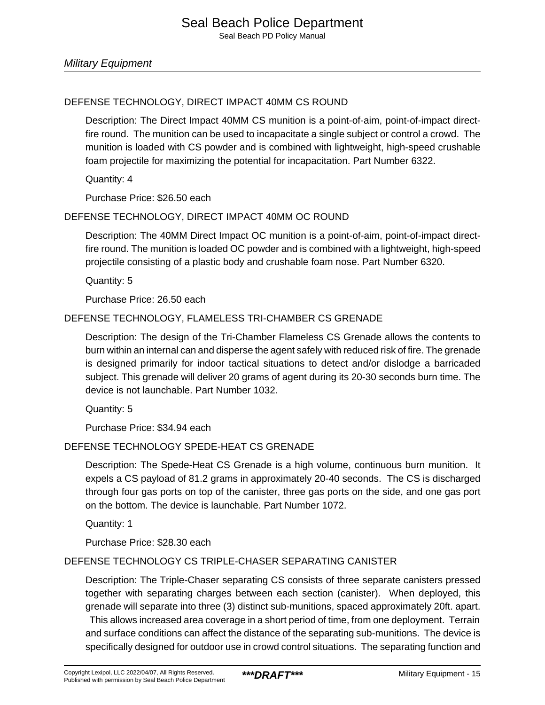#### DEFENSE TECHNOLOGY, DIRECT IMPACT 40MM CS ROUND

Description: The Direct Impact 40MM CS munition is a point-of-aim, point-of-impact directfire round. The munition can be used to incapacitate a single subject or control a crowd. The munition is loaded with CS powder and is combined with lightweight, high-speed crushable foam projectile for maximizing the potential for incapacitation. Part Number 6322.

Quantity: 4

Purchase Price: \$26.50 each

#### DEFENSE TECHNOLOGY, DIRECT IMPACT 40MM OC ROUND

Description: The 40MM Direct Impact OC munition is a point-of-aim, point-of-impact directfire round. The munition is loaded OC powder and is combined with a lightweight, high-speed projectile consisting of a plastic body and crushable foam nose. Part Number 6320.

Quantity: 5

Purchase Price: 26.50 each

#### DEFENSE TECHNOLOGY, FLAMELESS TRI-CHAMBER CS GRENADE

Description: The design of the Tri-Chamber Flameless CS Grenade allows the contents to burn within an internal can and disperse the agent safely with reduced risk of fire. The grenade is designed primarily for indoor tactical situations to detect and/or dislodge a barricaded subject. This grenade will deliver 20 grams of agent during its 20-30 seconds burn time. The device is not launchable. Part Number 1032.

Quantity: 5

Purchase Price: \$34.94 each

#### DEFENSE TECHNOLOGY SPEDE-HEAT CS GRENADE

Description: The Spede-Heat CS Grenade is a high volume, continuous burn munition. It expels a CS payload of 81.2 grams in approximately 20-40 seconds. The CS is discharged through four gas ports on top of the canister, three gas ports on the side, and one gas port on the bottom. The device is launchable. Part Number 1072.

Quantity: 1

Purchase Price: \$28.30 each

#### DEFENSE TECHNOLOGY CS TRIPLE-CHASER SEPARATING CANISTER

Description: The Triple-Chaser separating CS consists of three separate canisters pressed together with separating charges between each section (canister). When deployed, this grenade will separate into three (3) distinct sub-munitions, spaced approximately 20ft. apart. This allows increased area coverage in a short period of time, from one deployment. Terrain and surface conditions can affect the distance of the separating sub-munitions. The device is specifically designed for outdoor use in crowd control situations. The separating function and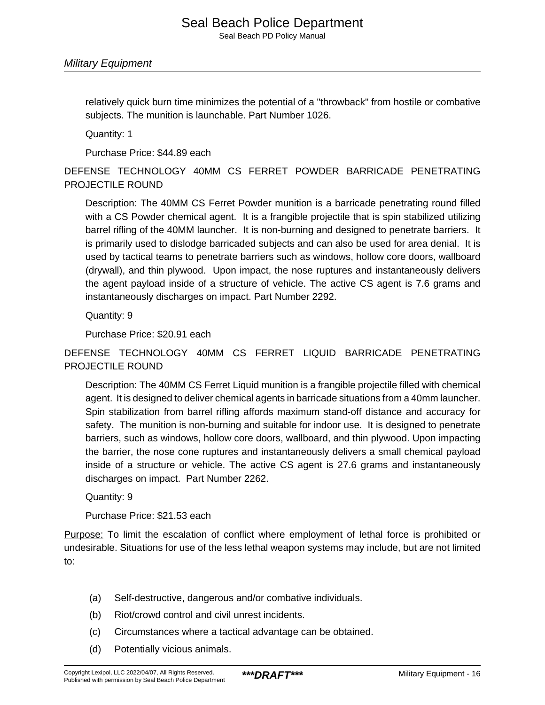relatively quick burn time minimizes the potential of a "throwback" from hostile or combative subjects. The munition is launchable. Part Number 1026.

Quantity: 1

Purchase Price: \$44.89 each

DEFENSE TECHNOLOGY 40MM CS FERRET POWDER BARRICADE PENETRATING PROJECTILE ROUND

Description: The 40MM CS Ferret Powder munition is a barricade penetrating round filled with a CS Powder chemical agent. It is a frangible projectile that is spin stabilized utilizing barrel rifling of the 40MM launcher. It is non-burning and designed to penetrate barriers. It is primarily used to dislodge barricaded subjects and can also be used for area denial. It is used by tactical teams to penetrate barriers such as windows, hollow core doors, wallboard (drywall), and thin plywood. Upon impact, the nose ruptures and instantaneously delivers the agent payload inside of a structure of vehicle. The active CS agent is 7.6 grams and instantaneously discharges on impact. Part Number 2292.

Quantity: 9

Purchase Price: \$20.91 each

DEFENSE TECHNOLOGY 40MM CS FERRET LIQUID BARRICADE PENETRATING PROJECTILE ROUND

Description: The 40MM CS Ferret Liquid munition is a frangible projectile filled with chemical agent. It is designed to deliver chemical agents in barricade situations from a 40mm launcher. Spin stabilization from barrel rifling affords maximum stand-off distance and accuracy for safety. The munition is non-burning and suitable for indoor use. It is designed to penetrate barriers, such as windows, hollow core doors, wallboard, and thin plywood. Upon impacting the barrier, the nose cone ruptures and instantaneously delivers a small chemical payload inside of a structure or vehicle. The active CS agent is 27.6 grams and instantaneously discharges on impact. Part Number 2262.

Quantity: 9

Purchase Price: \$21.53 each

Purpose: To limit the escalation of conflict where employment of lethal force is prohibited or undesirable. Situations for use of the less lethal weapon systems may include, but are not limited to:

- (a) Self-destructive, dangerous and/or combative individuals.
- (b) Riot/crowd control and civil unrest incidents.
- (c) Circumstances where a tactical advantage can be obtained.
- (d) Potentially vicious animals.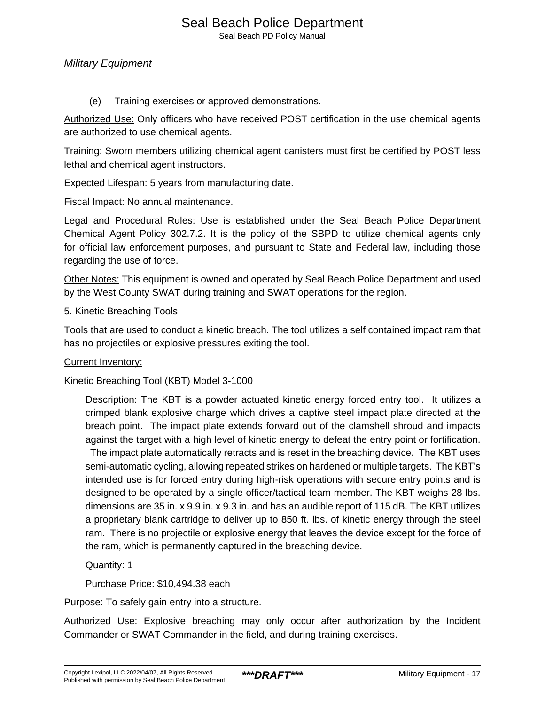Seal Beach PD Policy Manual

Military Equipment

(e) Training exercises or approved demonstrations.

Authorized Use: Only officers who have received POST certification in the use chemical agents are authorized to use chemical agents.

Training: Sworn members utilizing chemical agent canisters must first be certified by POST less lethal and chemical agent instructors.

Expected Lifespan: 5 years from manufacturing date.

Fiscal Impact: No annual maintenance.

Legal and Procedural Rules: Use is established under the Seal Beach Police Department Chemical Agent Policy 302.7.2. It is the policy of the SBPD to utilize chemical agents only for official law enforcement purposes, and pursuant to State and Federal law, including those regarding the use of force.

Other Notes: This equipment is owned and operated by Seal Beach Police Department and used by the West County SWAT during training and SWAT operations for the region.

5. Kinetic Breaching Tools

Tools that are used to conduct a kinetic breach. The tool utilizes a self contained impact ram that has no projectiles or explosive pressures exiting the tool.

Current Inventory:

Kinetic Breaching Tool (KBT) Model 3-1000

Description: The KBT is a powder actuated kinetic energy forced entry tool. It utilizes a crimped blank explosive charge which drives a captive steel impact plate directed at the breach point. The impact plate extends forward out of the clamshell shroud and impacts against the target with a high level of kinetic energy to defeat the entry point or fortification.

 The impact plate automatically retracts and is reset in the breaching device. The KBT uses semi-automatic cycling, allowing repeated strikes on hardened or multiple targets. The KBT's intended use is for forced entry during high-risk operations with secure entry points and is designed to be operated by a single officer/tactical team member. The KBT weighs 28 lbs. dimensions are 35 in. x 9.9 in. x 9.3 in. and has an audible report of 115 dB. The KBT utilizes a proprietary blank cartridge to deliver up to 850 ft. lbs. of kinetic energy through the steel ram. There is no projectile or explosive energy that leaves the device except for the force of the ram, which is permanently captured in the breaching device.

Quantity: 1

Purchase Price: \$10,494.38 each

Purpose: To safely gain entry into a structure.

Authorized Use: Explosive breaching may only occur after authorization by the Incident Commander or SWAT Commander in the field, and during training exercises.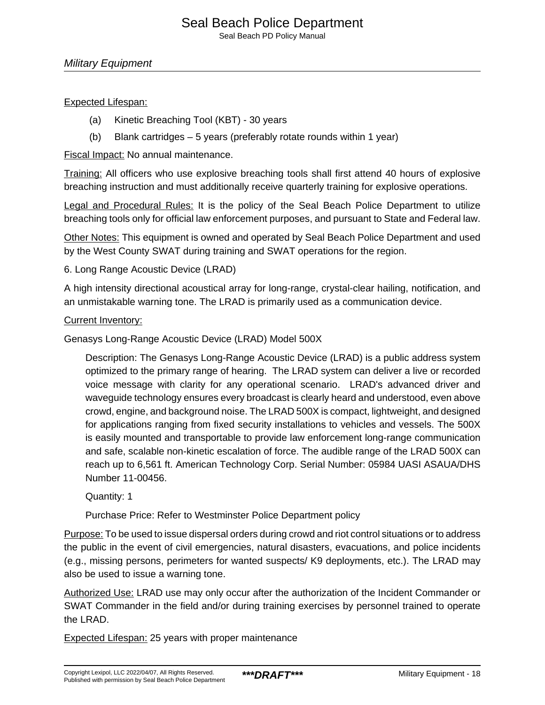#### Expected Lifespan:

- (a) Kinetic Breaching Tool (KBT) 30 years
- (b) Blank cartridges 5 years (preferably rotate rounds within 1 year)

Fiscal Impact: No annual maintenance.

Training: All officers who use explosive breaching tools shall first attend 40 hours of explosive breaching instruction and must additionally receive quarterly training for explosive operations.

Legal and Procedural Rules: It is the policy of the Seal Beach Police Department to utilize breaching tools only for official law enforcement purposes, and pursuant to State and Federal law.

Other Notes: This equipment is owned and operated by Seal Beach Police Department and used by the West County SWAT during training and SWAT operations for the region.

6. Long Range Acoustic Device (LRAD)

A high intensity directional acoustical array for long-range, crystal-clear hailing, notification, and an unmistakable warning tone. The LRAD is primarily used as a communication device.

#### Current Inventory:

Genasys Long-Range Acoustic Device (LRAD) Model 500X

Description: The Genasys Long-Range Acoustic Device (LRAD) is a public address system optimized to the primary range of hearing. The LRAD system can deliver a live or recorded voice message with clarity for any operational scenario. LRAD's advanced driver and waveguide technology ensures every broadcast is clearly heard and understood, even above crowd, engine, and background noise. The LRAD 500X is compact, lightweight, and designed for applications ranging from fixed security installations to vehicles and vessels. The 500X is easily mounted and transportable to provide law enforcement long-range communication and safe, scalable non-kinetic escalation of force. The audible range of the LRAD 500X can reach up to 6,561 ft. American Technology Corp. Serial Number: 05984 UASI ASAUA/DHS Number 11-00456.

Quantity: 1

Purchase Price: Refer to Westminster Police Department policy

Purpose: To be used to issue dispersal orders during crowd and riot control situations or to address the public in the event of civil emergencies, natural disasters, evacuations, and police incidents (e.g., missing persons, perimeters for wanted suspects/ K9 deployments, etc.). The LRAD may also be used to issue a warning tone.

Authorized Use: LRAD use may only occur after the authorization of the Incident Commander or SWAT Commander in the field and/or during training exercises by personnel trained to operate the LRAD.

Expected Lifespan: 25 years with proper maintenance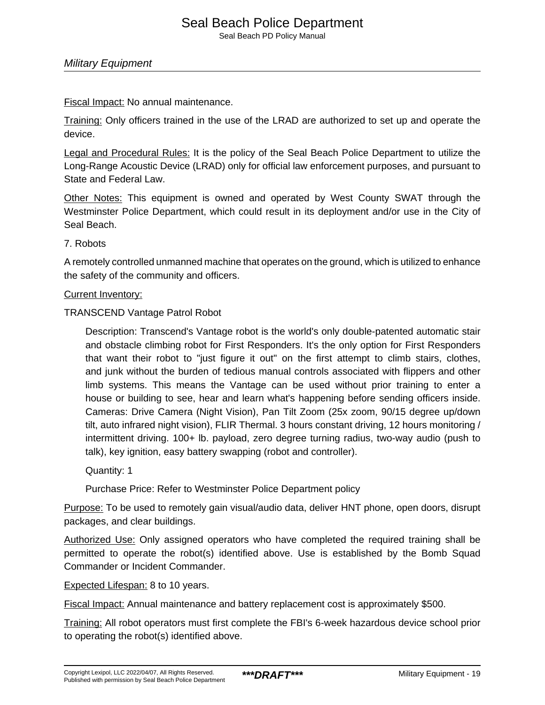Fiscal Impact: No annual maintenance.

Training: Only officers trained in the use of the LRAD are authorized to set up and operate the device.

Legal and Procedural Rules: It is the policy of the Seal Beach Police Department to utilize the Long-Range Acoustic Device (LRAD) only for official law enforcement purposes, and pursuant to State and Federal Law.

Other Notes: This equipment is owned and operated by West County SWAT through the Westminster Police Department, which could result in its deployment and/or use in the City of Seal Beach.

#### 7. Robots

A remotely controlled unmanned machine that operates on the ground, which is utilized to enhance the safety of the community and officers.

#### Current Inventory:

TRANSCEND Vantage Patrol Robot

Description: Transcend's Vantage robot is the world's only double-patented automatic stair and obstacle climbing robot for First Responders. It's the only option for First Responders that want their robot to "just figure it out" on the first attempt to climb stairs, clothes, and junk without the burden of tedious manual controls associated with flippers and other limb systems. This means the Vantage can be used without prior training to enter a house or building to see, hear and learn what's happening before sending officers inside. Cameras: Drive Camera (Night Vision), Pan Tilt Zoom (25x zoom, 90/15 degree up/down tilt, auto infrared night vision), FLIR Thermal. 3 hours constant driving, 12 hours monitoring / intermittent driving. 100+ lb. payload, zero degree turning radius, two-way audio (push to talk), key ignition, easy battery swapping (robot and controller).

Quantity: 1

Purchase Price: Refer to Westminster Police Department policy

Purpose: To be used to remotely gain visual/audio data, deliver HNT phone, open doors, disrupt packages, and clear buildings.

Authorized Use: Only assigned operators who have completed the required training shall be permitted to operate the robot(s) identified above. Use is established by the Bomb Squad Commander or Incident Commander.

Expected Lifespan: 8 to 10 years.

Fiscal Impact: Annual maintenance and battery replacement cost is approximately \$500.

Training: All robot operators must first complete the FBI's 6-week hazardous device school prior to operating the robot(s) identified above.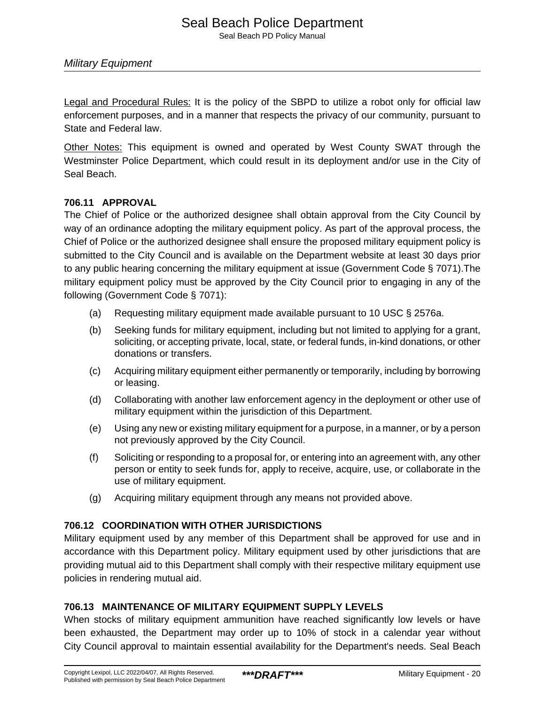Legal and Procedural Rules: It is the policy of the SBPD to utilize a robot only for official law enforcement purposes, and in a manner that respects the privacy of our community, pursuant to State and Federal law.

Other Notes: This equipment is owned and operated by West County SWAT through the Westminster Police Department, which could result in its deployment and/or use in the City of Seal Beach.

#### **706.11 APPROVAL**

The Chief of Police or the authorized designee shall obtain approval from the City Council by way of an ordinance adopting the military equipment policy. As part of the approval process, the Chief of Police or the authorized designee shall ensure the proposed military equipment policy is submitted to the City Council and is available on the Department website at least 30 days prior to any public hearing concerning the military equipment at issue (Government Code § 7071).The military equipment policy must be approved by the City Council prior to engaging in any of the following (Government Code § 7071):

- (a) Requesting military equipment made available pursuant to 10 USC § 2576a.
- (b) Seeking funds for military equipment, including but not limited to applying for a grant, soliciting, or accepting private, local, state, or federal funds, in-kind donations, or other donations or transfers.
- (c) Acquiring military equipment either permanently or temporarily, including by borrowing or leasing.
- (d) Collaborating with another law enforcement agency in the deployment or other use of military equipment within the jurisdiction of this Department.
- (e) Using any new or existing military equipment for a purpose, in a manner, or by a person not previously approved by the City Council.
- (f) Soliciting or responding to a proposal for, or entering into an agreement with, any other person or entity to seek funds for, apply to receive, acquire, use, or collaborate in the use of military equipment.
- (g) Acquiring military equipment through any means not provided above.

#### **706.12 COORDINATION WITH OTHER JURISDICTIONS**

Military equipment used by any member of this Department shall be approved for use and in accordance with this Department policy. Military equipment used by other jurisdictions that are providing mutual aid to this Department shall comply with their respective military equipment use policies in rendering mutual aid.

#### **706.13 MAINTENANCE OF MILITARY EQUIPMENT SUPPLY LEVELS**

When stocks of military equipment ammunition have reached significantly low levels or have been exhausted, the Department may order up to 10% of stock in a calendar year without City Council approval to maintain essential availability for the Department's needs. Seal Beach